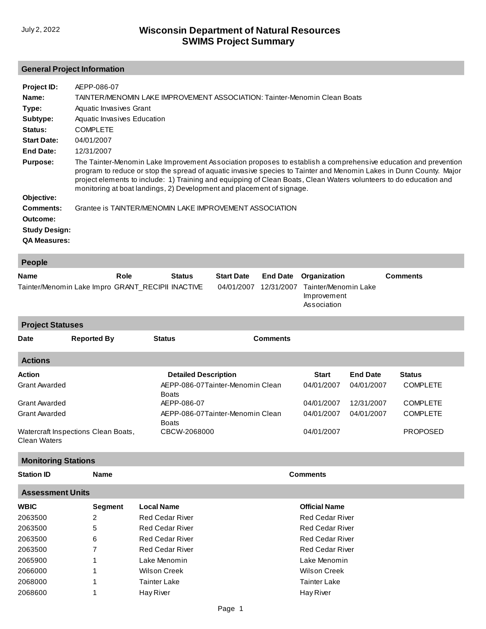## **General Project Information**

| Project ID:          | AEPP-086-07                                                                                                                                                                                                                                                                                                                                                                                                                           |
|----------------------|---------------------------------------------------------------------------------------------------------------------------------------------------------------------------------------------------------------------------------------------------------------------------------------------------------------------------------------------------------------------------------------------------------------------------------------|
| Name:                | TAINTER/MENOMIN LAKE IMPROVEMENT ASSOCIATION: Tainter-Menomin Clean Boats                                                                                                                                                                                                                                                                                                                                                             |
| Type:                | Aquatic Invasives Grant                                                                                                                                                                                                                                                                                                                                                                                                               |
| Subtype:             | Aquatic Invasives Education                                                                                                                                                                                                                                                                                                                                                                                                           |
| Status:              | <b>COMPLETE</b>                                                                                                                                                                                                                                                                                                                                                                                                                       |
| <b>Start Date:</b>   | 04/01/2007                                                                                                                                                                                                                                                                                                                                                                                                                            |
| <b>End Date:</b>     | 12/31/2007                                                                                                                                                                                                                                                                                                                                                                                                                            |
| <b>Purpose:</b>      | The Tainter-Menomin Lake Improvement Association proposes to establish a comprehensive education and prevention<br>program to reduce or stop the spread of aquatic invasive species to Tainter and Menomin Lakes in Dunn County. Major<br>project elements to include: 1) Training and equipping of Clean Boats, Clean Waters volunteers to do education and<br>monitoring at boat landings, 2) Development and placement of signage. |
| Objective:           |                                                                                                                                                                                                                                                                                                                                                                                                                                       |
| Comments:            | Grantee is TAINTER/MENOMIN LAKE IMPROVEMENT ASSOCIATION                                                                                                                                                                                                                                                                                                                                                                               |
| Outcome:             |                                                                                                                                                                                                                                                                                                                                                                                                                                       |
| <b>Study Design:</b> |                                                                                                                                                                                                                                                                                                                                                                                                                                       |
| <b>QA Measures:</b>  |                                                                                                                                                                                                                                                                                                                                                                                                                                       |
| - -                  |                                                                                                                                                                                                                                                                                                                                                                                                                                       |

| <b>Feople</b>                                     |      |               |                   |                                                           |                 |
|---------------------------------------------------|------|---------------|-------------------|-----------------------------------------------------------|-----------------|
| <b>Name</b>                                       | Role | <b>Status</b> | <b>Start Date</b> | <b>End Date</b> Organization                              | <b>Comments</b> |
| Tainter/Menomin Lake Impro GRANT RECIPII INACTIVE |      |               |                   | 04/01/2007 12/31/2007 Tainter/Menomin Lake<br>Improvement |                 |
|                                                   |      |               |                   | Association                                               |                 |

**Actions Action Detailed Description Start End Date Status** Grant Awarded [Grant Awarded](http://prodoasint.dnr.wi.gov/swims/viewAction.do?id=284) Grant Awarded [Watercraft Inspections Clean Boats,](http://prodoasint.dnr.wi.gov/swims/viewAction.do?id=40863630)  Clean Waters [AEPP-086-07Tainter-Menomin Clean](http://prodoasint.dnr.wi.gov/swims/viewAction.do?id=22222475)  Boats AEPP-086-07 [AEPP-086-07Tainter-Menomin Clean](http://prodoasint.dnr.wi.gov/swims/viewAction.do?id=22222491)  Boats CBCW-2068000 04/01/2007 04/01/2007 04/01/2007 04/01/2007 04/01/2007 12/31/2007 04/01/2007 COMPLETE COMPLETE COMPLETE PROPOSED **Project Statuses Date Reported By Status Comments**

## **Monitoring Stations**

| <b>Station ID</b><br>Name | <b>Comments</b> |
|---------------------------|-----------------|
|---------------------------|-----------------|

| <b>Assessment Units</b> |         |                        |                        |  |  |
|-------------------------|---------|------------------------|------------------------|--|--|
| <b>WBIC</b>             | Segment | <b>Local Name</b>      | <b>Official Name</b>   |  |  |
| 2063500                 | 2       | <b>Red Cedar River</b> | <b>Red Cedar River</b> |  |  |
| 2063500                 | 5       | Red Cedar River        | Red Cedar River        |  |  |
| 2063500                 | 6       | Red Cedar River        | <b>Red Cedar River</b> |  |  |
| 2063500                 | 7       | <b>Red Cedar River</b> | <b>Red Cedar River</b> |  |  |
| 2065900                 |         | Lake Menomin           | Lake Menomin           |  |  |
| 2066000                 |         | Wilson Creek           | Wilson Creek           |  |  |
| 2068000                 |         | <b>Tainter Lake</b>    | <b>Tainter Lake</b>    |  |  |
| 2068600                 |         | Hay River              | Hay River              |  |  |